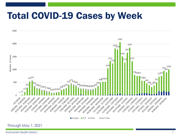### Total COVID-19 Cases by Week



Antigen PCR **III** Other Grand Total

#### Through May 1, 2021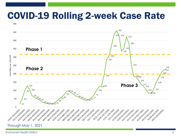### COVID-19 Rolling 2-week Case Rate

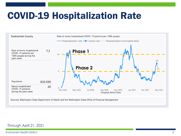# COVID-19 Hospitalization Rate



#### Through April 21, 2021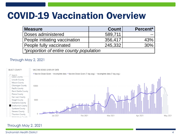# COVID-19 Vaccination Overview

| <b>Measure</b>                          | <b>Count</b> | Percent* |  |  |  |
|-----------------------------------------|--------------|----------|--|--|--|
| Doses administered                      | 589,711      |          |  |  |  |
| People initiating vaccination           | 356,417      | 43%      |  |  |  |
| People fully vaccinated                 | 245,332      | 30%      |  |  |  |
| *proportion of entire county population |              |          |  |  |  |

#### Through May 2, 2021



#### Through May 2, 2021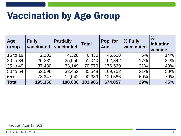# Vaccination by Age Group

| Age<br>group | <b>Fully</b><br>vaccinated | <b>Partially</b><br>vaccinated | <b>Total</b> | Pop. for<br>Age | % Fully<br>vaccinated | $\frac{0}{0}$<br><b>Initiating</b><br>vaccine |
|--------------|----------------------------|--------------------------------|--------------|-----------------|-----------------------|-----------------------------------------------|
| 15 to 19     | 2,102                      | 4,328                          | 6,430        | 46,608          | 5%                    | 14%                                           |
| 20 to 34     | 25,381                     | 25,659                         | 51,040       | 152,342         | 17%                   | 34%                                           |
| 35 to 49     | 37,430                     | 33,149                         | 70,579       | 176,569         | 21%                   | 40%                                           |
| 50 to 64     | 52,096                     | 33,452                         | 85,548       | 169,752         | 31%                   | 50%                                           |
| $65+$        | 78,347                     | 12,042                         | 90,389       | 129,586         | 60%                   | 70%                                           |
| <b>Total</b> | 195,356                    | 108,630                        | 303,986      | 674,857         | 29%                   | 45%                                           |

Through April 18, 2021